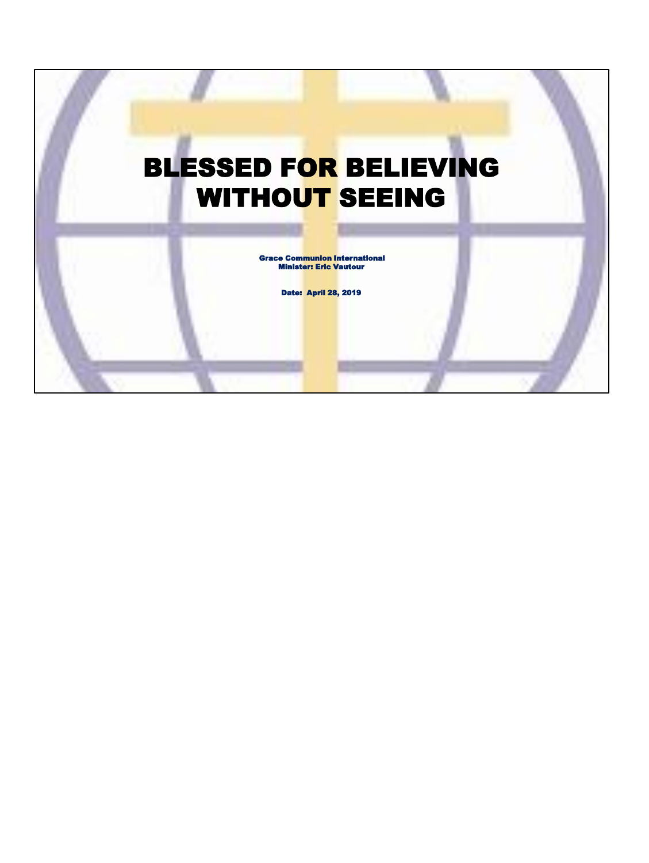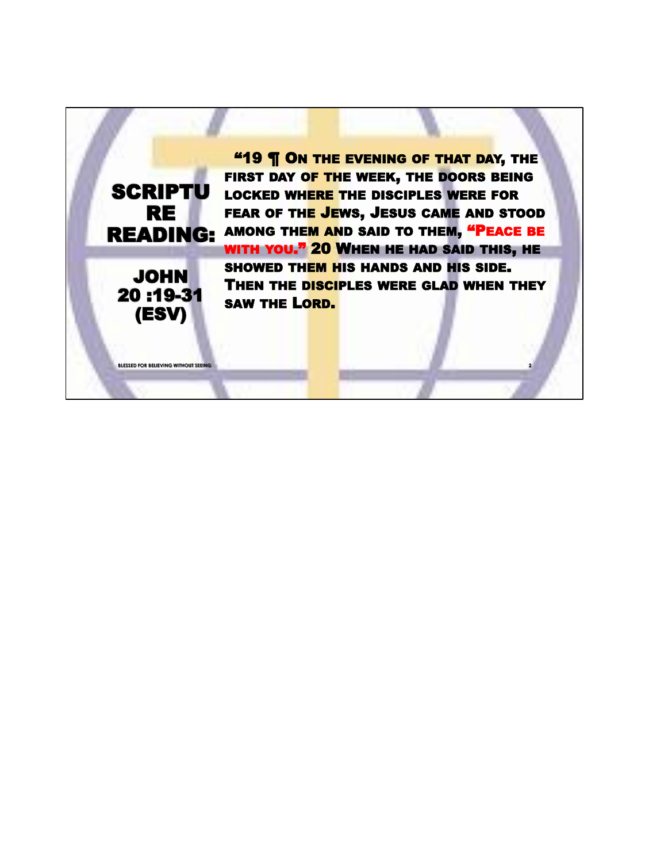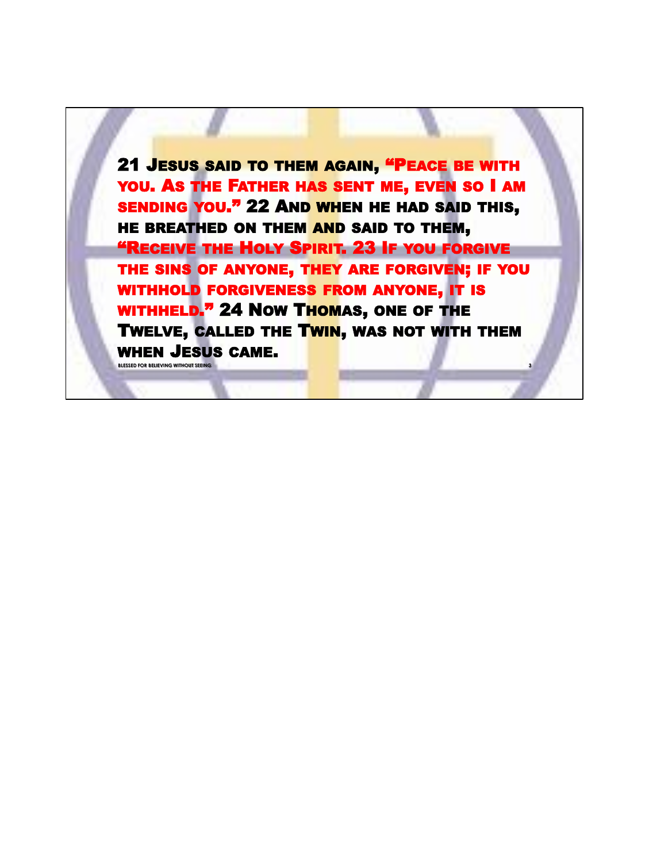21 JESUS SAID TO THEM AGAIN, "PEACE BE WITH YOU. AS THE FATHER HAS SENT ME, EVEN SO I AM SENDING YOU." 22 AND WHEN HE HAD SAID THIS, HE BREATHED ON THEM AND SAID TO THEM, "RECEIVE THE HOLY SPIRIT. 23 IF YOU FORGIVE THE SINS OF ANYONE, THEY ARE FORGIVEN; IF YOU WITHHOLD FORGIVENESS FROM ANYONE, IT IS WITHHELD." 24 NOW THOMAS, ONE OF THE TWELVE, CALLED THE TWIN, WAS NOT WITH THEM WHEN JESUS CAME. **BLESSED FOR BELIEVING WITHOUT SEEIN**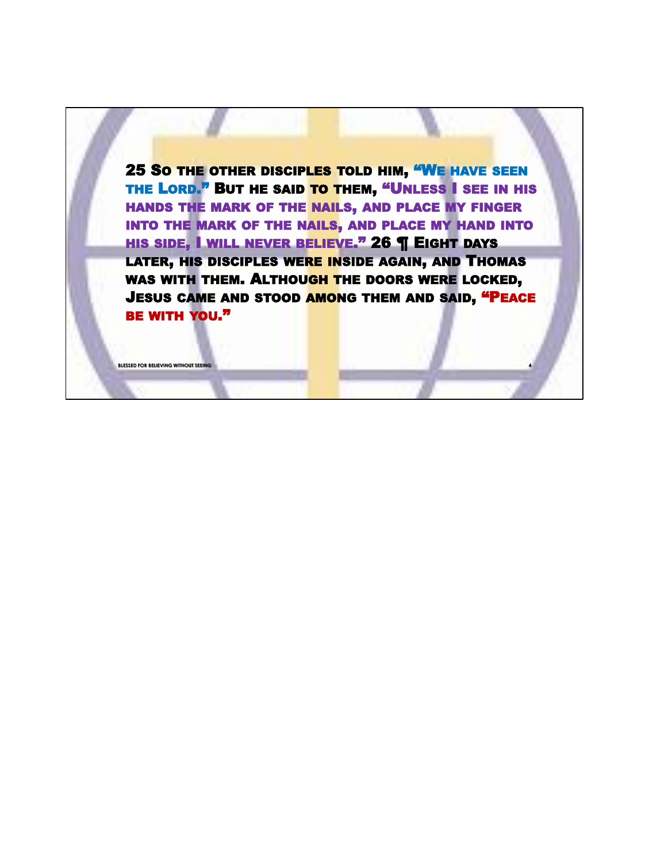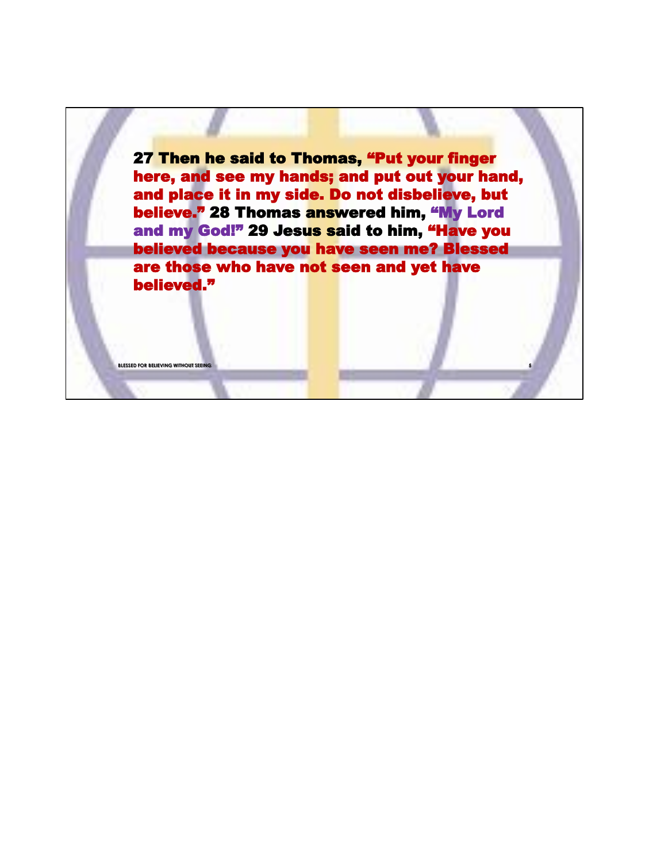27 Then he said to Thomas, "Put your finger here, and see my hands; and put out your hand, and place it in my side. Do not disbelieve, but believe." 28 Thomas answered him, "My Lord and my God!" 29 Jesus said to him, "Have you believed because you have seen me? Blessed are those who have not seen and yet have believed."

**BLESSED FOR BELIEVING WITHOUT**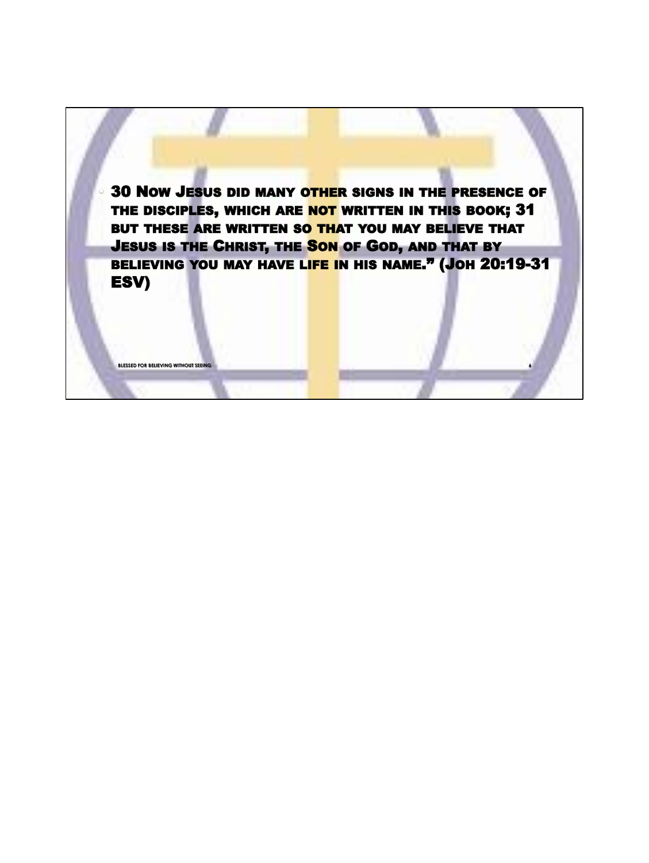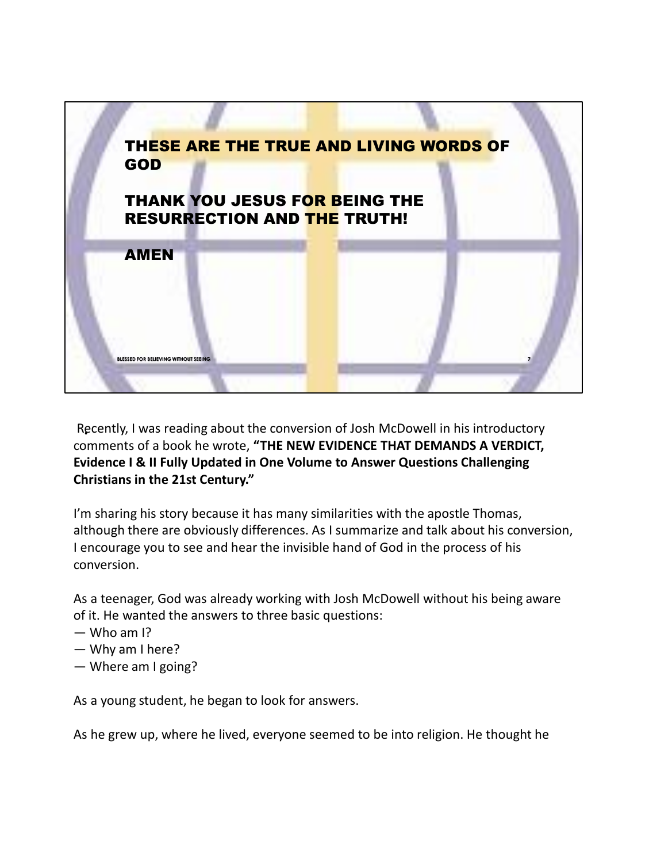

Recently, I was reading about the conversion of Josh McDowell in his introductory .comments of a book he wrote, **"THE NEW EVIDENCE THAT DEMANDS A VERDICT, Evidence I & II Fully Updated in One Volume to Answer Questions Challenging Christians in the 21st Century."**

I'm sharing his story because it has many similarities with the apostle Thomas, although there are obviously differences. As I summarize and talk about his conversion, I encourage you to see and hear the invisible hand of God in the process of his conversion.

As a teenager, God was already working with Josh McDowell without his being aware of it. He wanted the answers to three basic questions:

- $-$  Who am I?
- Why am I here?
- Where am I going?

As a young student, he began to look for answers.

As he grew up, where he lived, everyone seemed to be into religion. He thought he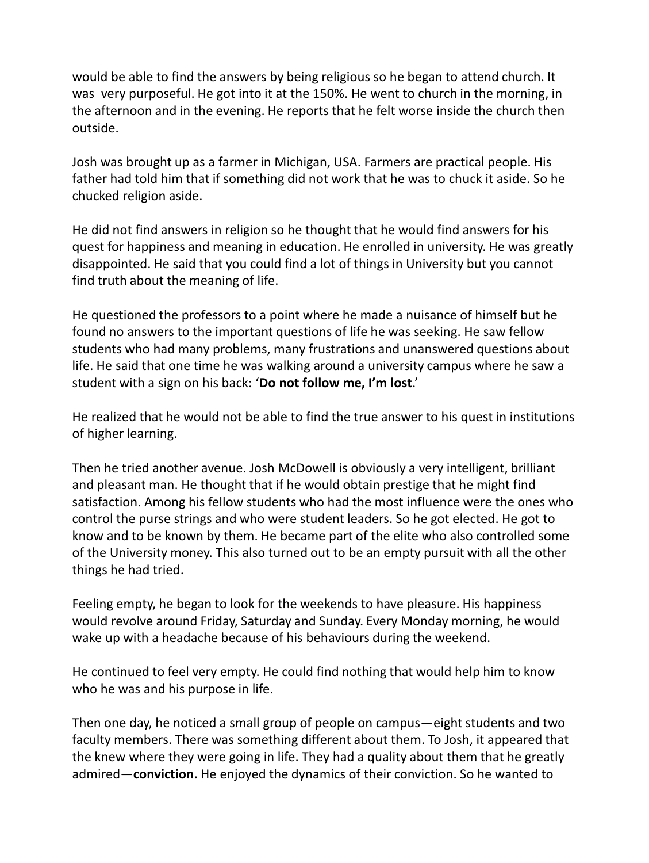would be able to find the answers by being religious so he began to attend church. It was very purposeful. He got into it at the 150%. He went to church in the morning, in the afternoon and in the evening. He reports that he felt worse inside the church then outside.

Josh was brought up as a farmer in Michigan, USA. Farmers are practical people. His father had told him that if something did not work that he was to chuck it aside. So he chucked religion aside.

He did not find answers in religion so he thought that he would find answers for his quest for happiness and meaning in education. He enrolled in university. He was greatly disappointed. He said that you could find a lot of things in University but you cannot find truth about the meaning of life.

He questioned the professors to a point where he made a nuisance of himself but he found no answers to the important questions of life he was seeking. He saw fellow students who had many problems, many frustrations and unanswered questions about life. He said that one time he was walking around a university campus where he saw a student with a sign on his back: '**Do not follow me, I'm lost**.'

He realized that he would not be able to find the true answer to his quest in institutions of higher learning.

Then he tried another avenue. Josh McDowell is obviously a very intelligent, brilliant and pleasant man. He thought that if he would obtain prestige that he might find satisfaction. Among his fellow students who had the most influence were the ones who control the purse strings and who were student leaders. So he got elected. He got to know and to be known by them. He became part of the elite who also controlled some of the University money. This also turned out to be an empty pursuit with all the other things he had tried.

Feeling empty, he began to look for the weekends to have pleasure. His happiness would revolve around Friday, Saturday and Sunday. Every Monday morning, he would wake up with a headache because of his behaviours during the weekend.

He continued to feel very empty. He could find nothing that would help him to know who he was and his purpose in life.

Then one day, he noticed a small group of people on campus—eight students and two faculty members. There was something different about them. To Josh, it appeared that the knew where they were going in life. They had a quality about them that he greatly admired—**conviction.** He enjoyed the dynamics of their conviction. So he wanted to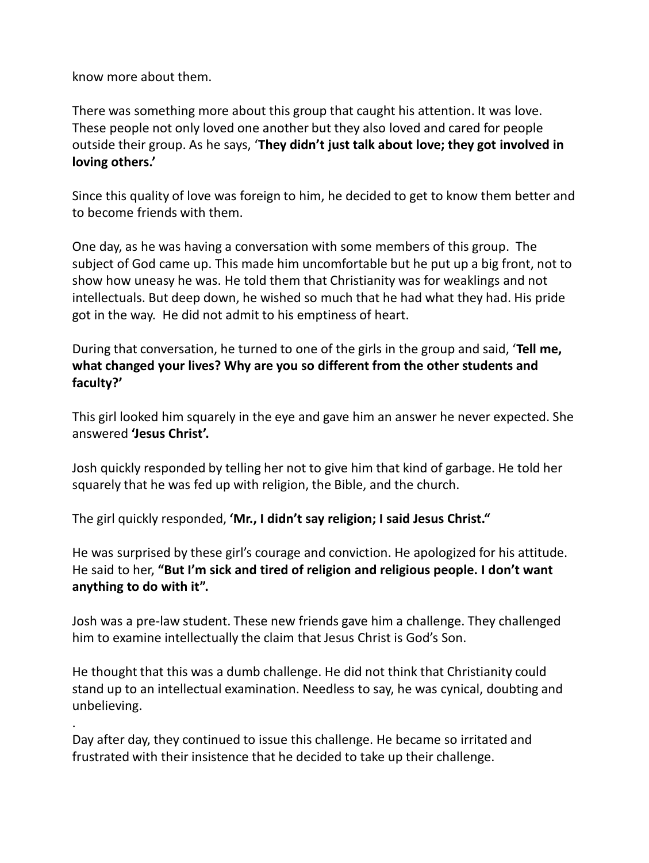know more about them.

.

There was something more about this group that caught his attention. It was love. These people not only loved one another but they also loved and cared for people outside their group. As he says, '**They didn't just talk about love; they got involved in loving others.'**

Since this quality of love was foreign to him, he decided to get to know them better and to become friends with them.

One day, as he was having a conversation with some members of this group. The subject of God came up. This made him uncomfortable but he put up a big front, not to show how uneasy he was. He told them that Christianity was for weaklings and not intellectuals. But deep down, he wished so much that he had what they had. His pride got in the way. He did not admit to his emptiness of heart.

During that conversation, he turned to one of the girls in the group and said, '**Tell me, what changed your lives? Why are you so different from the other students and faculty?'** 

This girl looked him squarely in the eye and gave him an answer he never expected. She answered **'Jesus Christ'.**

Josh quickly responded by telling her not to give him that kind of garbage. He told her squarely that he was fed up with religion, the Bible, and the church.

The girl quickly responded, **'Mr., I didn't say religion; I said Jesus Christ."**

He was surprised by these girl's courage and conviction. He apologized for his attitude. He said to her, **"But I'm sick and tired of religion and religious people. I don't want anything to do with it".**

Josh was a pre-law student. These new friends gave him a challenge. They challenged him to examine intellectually the claim that Jesus Christ is God's Son.

He thought that this was a dumb challenge. He did not think that Christianity could stand up to an intellectual examination. Needless to say, he was cynical, doubting and unbelieving.

Day after day, they continued to issue this challenge. He became so irritated and frustrated with their insistence that he decided to take up their challenge.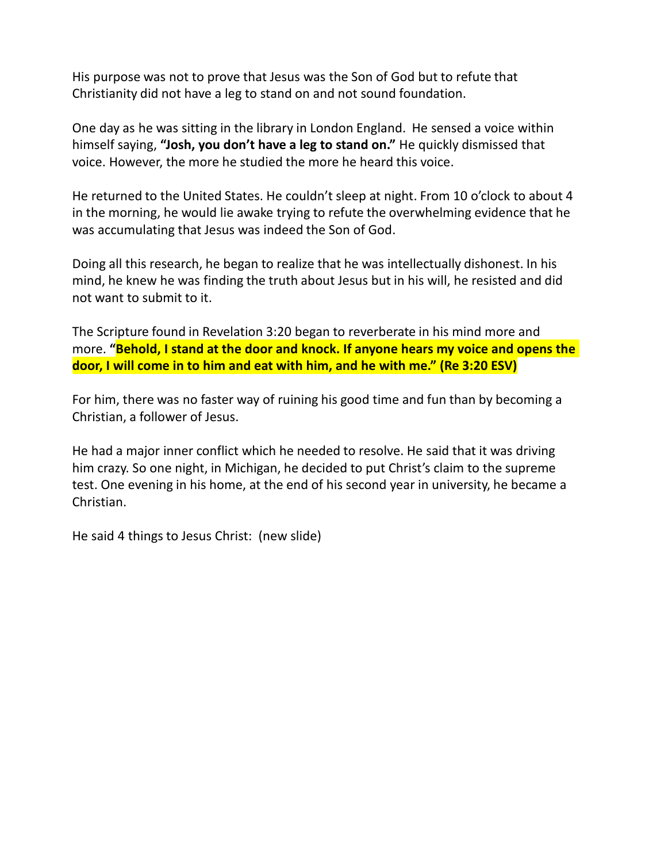His purpose was not to prove that Jesus was the Son of God but to refute that Christianity did not have a leg to stand on and not sound foundation.

One day as he was sitting in the library in London England. He sensed a voice within himself saying, **"Josh, you don't have a leg to stand on."** He quickly dismissed that voice. However, the more he studied the more he heard this voice.

He returned to the United States. He couldn't sleep at night. From 10 o'clock to about 4 in the morning, he would lie awake trying to refute the overwhelming evidence that he was accumulating that Jesus was indeed the Son of God.

Doing all this research, he began to realize that he was intellectually dishonest. In his mind, he knew he was finding the truth about Jesus but in his will, he resisted and did not want to submit to it.

The Scripture found in Revelation 3:20 began to reverberate in his mind more and more. **"Behold, I stand at the door and knock. If anyone hears my voice and opens the door, I will come in to him and eat with him, and he with me." (Re 3:20 ESV)**

For him, there was no faster way of ruining his good time and fun than by becoming a Christian, a follower of Jesus.

He had a major inner conflict which he needed to resolve. He said that it was driving him crazy. So one night, in Michigan, he decided to put Christ's claim to the supreme test. One evening in his home, at the end of his second year in university, he became a Christian.

He said 4 things to Jesus Christ: (new slide)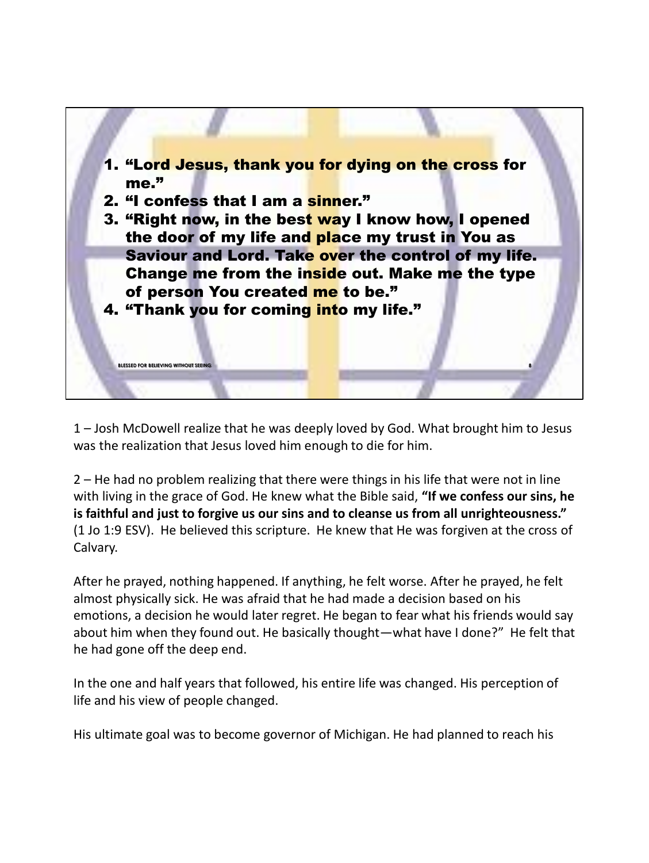

1 – Josh McDowell realize that he was deeply loved by God. What brought him to Jesus was the realization that Jesus loved him enough to die for him.

2 – He had no problem realizing that there were things in his life that were not in line with living in the grace of God. He knew what the Bible said, **"If we confess our sins, he is faithful and just to forgive us our sins and to cleanse us from all unrighteousness."** (1 Jo 1:9 ESV). He believed this scripture. He knew that He was forgiven at the cross of Calvary.

After he prayed, nothing happened. If anything, he felt worse. After he prayed, he felt almost physically sick. He was afraid that he had made a decision based on his emotions, a decision he would later regret. He began to fear what his friends would say about him when they found out. He basically thought—what have I done?" He felt that he had gone off the deep end.

In the one and half years that followed, his entire life was changed. His perception of life and his view of people changed.

His ultimate goal was to become governor of Michigan. He had planned to reach his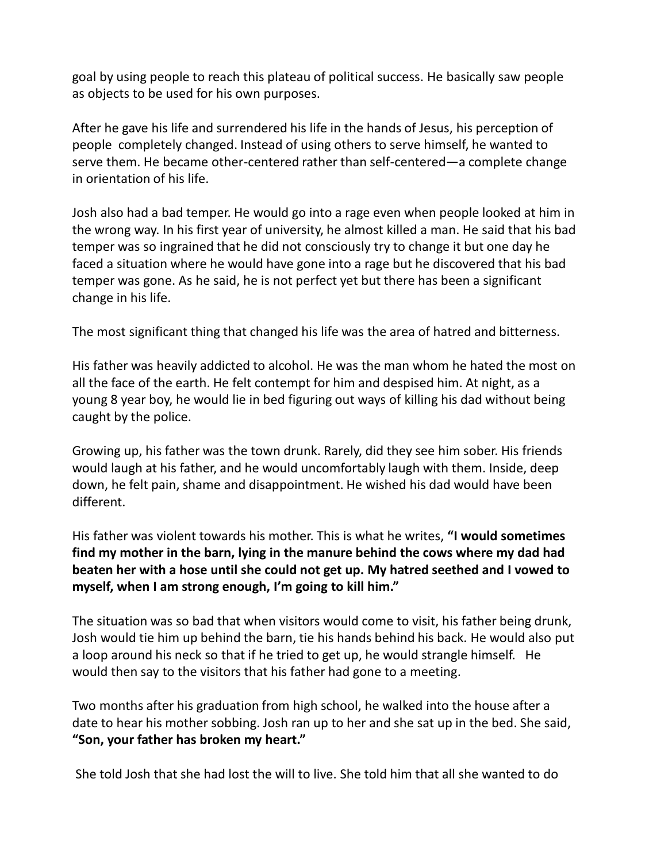goal by using people to reach this plateau of political success. He basically saw people as objects to be used for his own purposes.

After he gave his life and surrendered his life in the hands of Jesus, his perception of people completely changed. Instead of using others to serve himself, he wanted to serve them. He became other-centered rather than self-centered—a complete change in orientation of his life.

Josh also had a bad temper. He would go into a rage even when people looked at him in the wrong way. In his first year of university, he almost killed a man. He said that his bad temper was so ingrained that he did not consciously try to change it but one day he faced a situation where he would have gone into a rage but he discovered that his bad temper was gone. As he said, he is not perfect yet but there has been a significant change in his life.

The most significant thing that changed his life was the area of hatred and bitterness.

His father was heavily addicted to alcohol. He was the man whom he hated the most on all the face of the earth. He felt contempt for him and despised him. At night, as a young 8 year boy, he would lie in bed figuring out ways of killing his dad without being caught by the police.

Growing up, his father was the town drunk. Rarely, did they see him sober. His friends would laugh at his father, and he would uncomfortably laugh with them. Inside, deep down, he felt pain, shame and disappointment. He wished his dad would have been different.

His father was violent towards his mother. This is what he writes, **"I would sometimes find my mother in the barn, lying in the manure behind the cows where my dad had beaten her with a hose until she could not get up. My hatred seethed and I vowed to myself, when I am strong enough, I'm going to kill him."**

The situation was so bad that when visitors would come to visit, his father being drunk, Josh would tie him up behind the barn, tie his hands behind his back. He would also put a loop around his neck so that if he tried to get up, he would strangle himself. He would then say to the visitors that his father had gone to a meeting.

Two months after his graduation from high school, he walked into the house after a date to hear his mother sobbing. Josh ran up to her and she sat up in the bed. She said, **"Son, your father has broken my heart."**

She told Josh that she had lost the will to live. She told him that all she wanted to do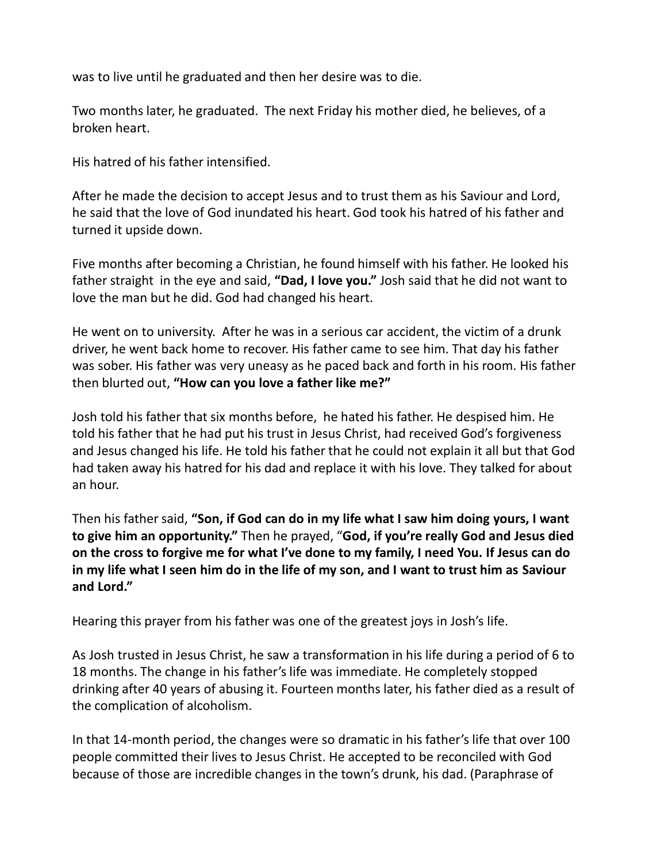was to live until he graduated and then her desire was to die.

Two months later, he graduated. The next Friday his mother died, he believes, of a broken heart.

His hatred of his father intensified.

After he made the decision to accept Jesus and to trust them as his Saviour and Lord, he said that the love of God inundated his heart. God took his hatred of his father and turned it upside down.

Five months after becoming a Christian, he found himself with his father. He looked his father straight in the eye and said, **"Dad, I love you."** Josh said that he did not want to love the man but he did. God had changed his heart.

He went on to university. After he was in a serious car accident, the victim of a drunk driver, he went back home to recover. His father came to see him. That day his father was sober. His father was very uneasy as he paced back and forth in his room. His father then blurted out, **"How can you love a father like me?"**

Josh told his father that six months before, he hated his father. He despised him. He told his father that he had put his trust in Jesus Christ, had received God's forgiveness and Jesus changed his life. He told his father that he could not explain it all but that God had taken away his hatred for his dad and replace it with his love. They talked for about an hour.

Then his father said, **"Son, if God can do in my life what I saw him doing yours, I want to give him an opportunity."** Then he prayed, "**God, if you're really God and Jesus died on the cross to forgive me for what I've done to my family, I need You. If Jesus can do in my life what I seen him do in the life of my son, and I want to trust him as Saviour and Lord."**

Hearing this prayer from his father was one of the greatest joys in Josh's life.

As Josh trusted in Jesus Christ, he saw a transformation in his life during a period of 6 to 18 months. The change in his father's life was immediate. He completely stopped drinking after 40 years of abusing it. Fourteen months later, his father died as a result of the complication of alcoholism.

In that 14-month period, the changes were so dramatic in his father's life that over 100 people committed their lives to Jesus Christ. He accepted to be reconciled with God because of those are incredible changes in the town's drunk, his dad. (Paraphrase of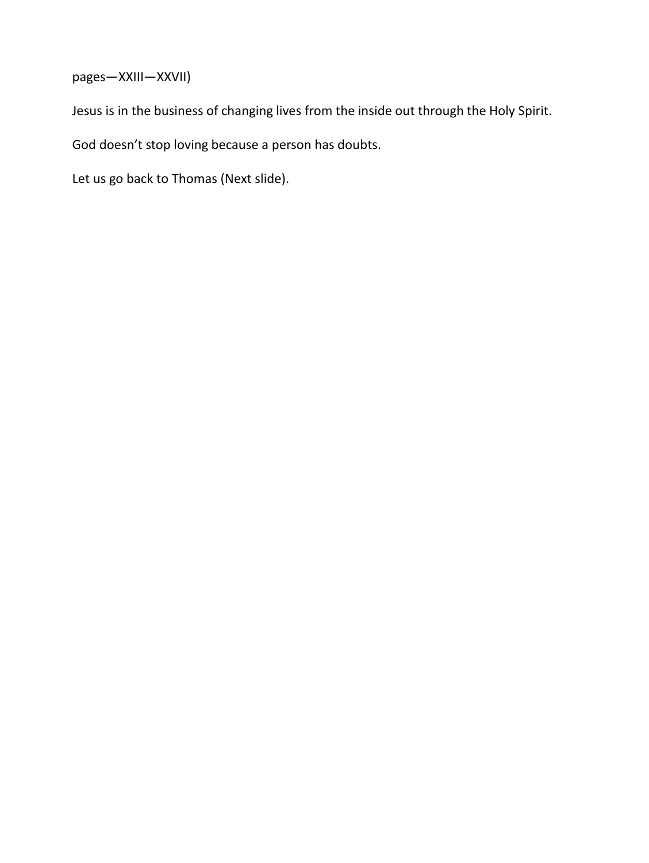pages—XXIII—XXVII)

Jesus is in the business of changing lives from the inside out through the Holy Spirit.

God doesn't stop loving because a person has doubts.

Let us go back to Thomas (Next slide).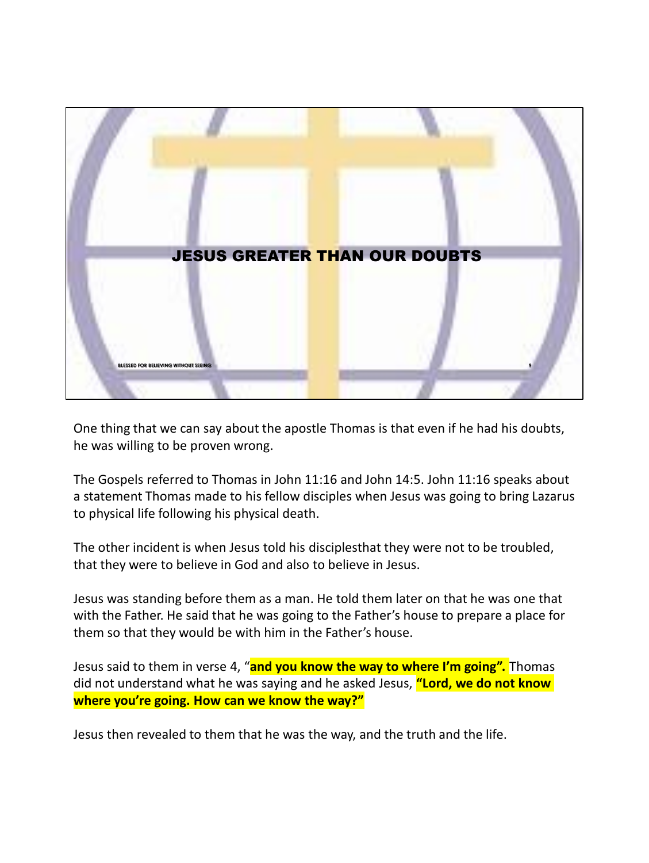

One thing that we can say about the apostle Thomas is that even if he had his doubts, he was willing to be proven wrong.

The Gospels referred to Thomas in John 11:16 and John 14:5. John 11:16 speaks about a statement Thomas made to his fellow disciples when Jesus was going to bring Lazarus to physical life following his physical death.

The other incident is when Jesus told his disciplesthat they were not to be troubled, that they were to believe in God and also to believe in Jesus.

Jesus was standing before them as a man. He told them later on that he was one that with the Father. He said that he was going to the Father's house to prepare a place for them so that they would be with him in the Father's house.

Jesus said to them in verse 4, "**and you know the way to where I'm going".** Thomas did not understand what he was saying and he asked Jesus, **"Lord, we do not know where you're going. How can we know the way?"**

Jesus then revealed to them that he was the way, and the truth and the life.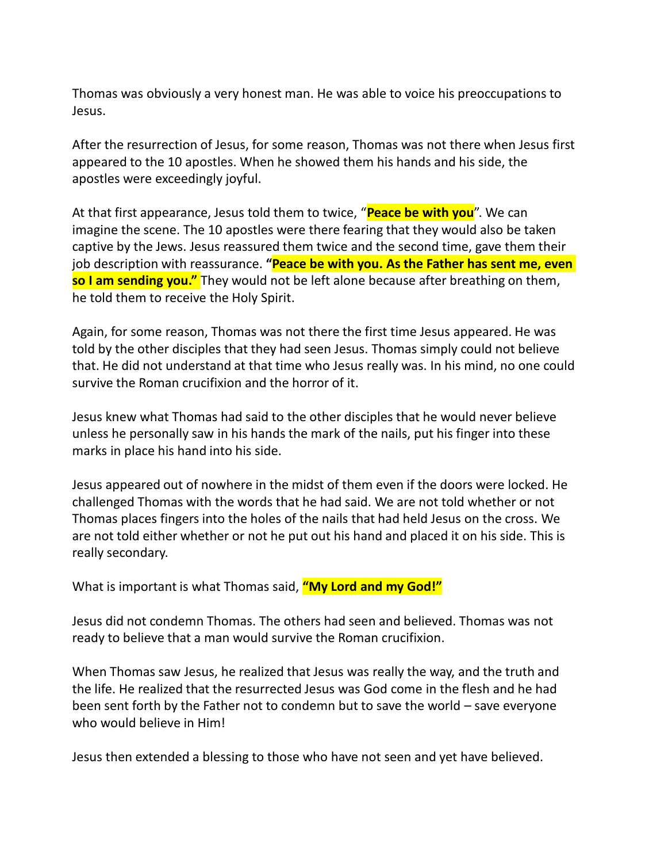Thomas was obviously a very honest man. He was able to voice his preoccupations to Jesus.

After the resurrection of Jesus, for some reason, Thomas was not there when Jesus first appeared to the 10 apostles. When he showed them his hands and his side, the apostles were exceedingly joyful.

At that first appearance, Jesus told them to twice, "**Peace be with you**". We can imagine the scene. The 10 apostles were there fearing that they would also be taken captive by the Jews. Jesus reassured them twice and the second time, gave them their job description with reassurance. **"Peace be with you. As the Father has sent me, even so I am sending you."** They would not be left alone because after breathing on them, he told them to receive the Holy Spirit.

Again, for some reason, Thomas was not there the first time Jesus appeared. He was told by the other disciples that they had seen Jesus. Thomas simply could not believe that. He did not understand at that time who Jesus really was. In his mind, no one could survive the Roman crucifixion and the horror of it.

Jesus knew what Thomas had said to the other disciples that he would never believe unless he personally saw in his hands the mark of the nails, put his finger into these marks in place his hand into his side.

Jesus appeared out of nowhere in the midst of them even if the doors were locked. He challenged Thomas with the words that he had said. We are not told whether or not Thomas places fingers into the holes of the nails that had held Jesus on the cross. We are not told either whether or not he put out his hand and placed it on his side. This is really secondary.

What is important is what Thomas said, **"My Lord and my God!"**

Jesus did not condemn Thomas. The others had seen and believed. Thomas was not ready to believe that a man would survive the Roman crucifixion.

When Thomas saw Jesus, he realized that Jesus was really the way, and the truth and the life. He realized that the resurrected Jesus was God come in the flesh and he had been sent forth by the Father not to condemn but to save the world – save everyone who would believe in Him!

Jesus then extended a blessing to those who have not seen and yet have believed.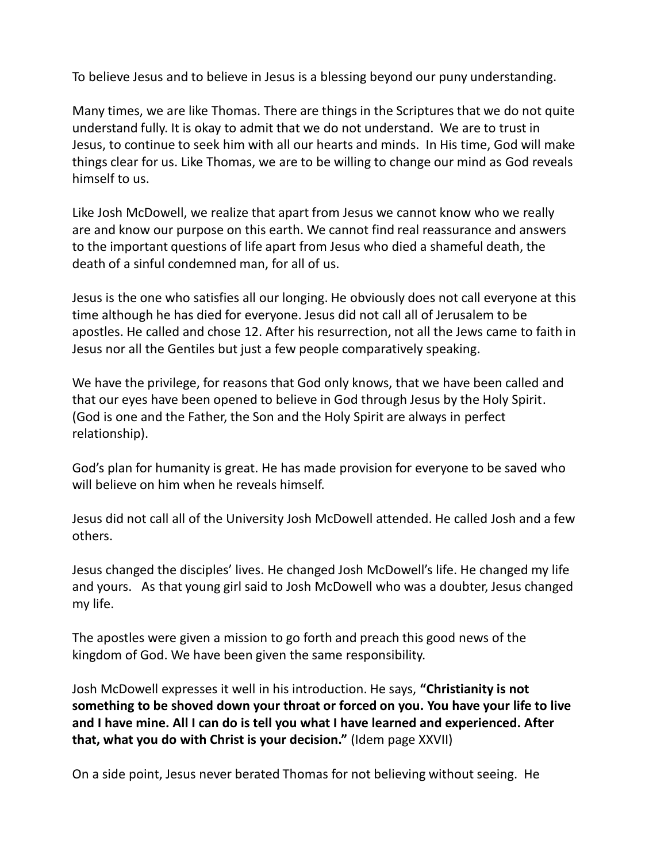To believe Jesus and to believe in Jesus is a blessing beyond our puny understanding.

Many times, we are like Thomas. There are things in the Scriptures that we do not quite understand fully. It is okay to admit that we do not understand. We are to trust in Jesus, to continue to seek him with all our hearts and minds. In His time, God will make things clear for us. Like Thomas, we are to be willing to change our mind as God reveals himself to us.

Like Josh McDowell, we realize that apart from Jesus we cannot know who we really are and know our purpose on this earth. We cannot find real reassurance and answers to the important questions of life apart from Jesus who died a shameful death, the death of a sinful condemned man, for all of us.

Jesus is the one who satisfies all our longing. He obviously does not call everyone at this time although he has died for everyone. Jesus did not call all of Jerusalem to be apostles. He called and chose 12. After his resurrection, not all the Jews came to faith in Jesus nor all the Gentiles but just a few people comparatively speaking.

We have the privilege, for reasons that God only knows, that we have been called and that our eyes have been opened to believe in God through Jesus by the Holy Spirit. (God is one and the Father, the Son and the Holy Spirit are always in perfect relationship).

God's plan for humanity is great. He has made provision for everyone to be saved who will believe on him when he reveals himself.

Jesus did not call all of the University Josh McDowell attended. He called Josh and a few others.

Jesus changed the disciples' lives. He changed Josh McDowell's life. He changed my life and yours. As that young girl said to Josh McDowell who was a doubter, Jesus changed my life.

The apostles were given a mission to go forth and preach this good news of the kingdom of God. We have been given the same responsibility.

Josh McDowell expresses it well in his introduction. He says, **"Christianity is not something to be shoved down your throat or forced on you. You have your life to live and I have mine. All I can do is tell you what I have learned and experienced. After that, what you do with Christ is your decision."** (Idem page XXVII)

On a side point, Jesus never berated Thomas for not believing without seeing. He